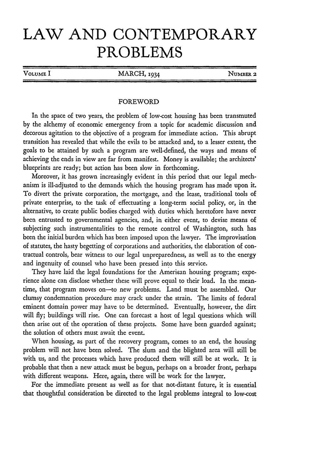## **LAW AND CONTEMPORARY PROBLEMS**

| VOLUME I | MARCH, 1934 | NUMBER 2 |
|----------|-------------|----------|
|          |             |          |

## FOREWORD

In the space of two years, the problem of low-cost housing has been transmuted by the alchemy of economic emergency from a topic for academic discussion and decorous agitation to the objective of a program for immediate action. This abrupt transition has revealed that while the evils to be attacked and, to a lesser extent, the goals to be attained by such a program are well-defined, the ways and means of achieving the ends in view are far from manifest. Money is available; the architects' blueprints are ready; but action has been slow in forthcoming.

Moreover, it has grown increasingly evident in this period that our legal mechanism is ill-adjusted to the demands which the housing program has made upon it. To divert the private corporation, the mortgage, and the lease, traditional tools of private enterprise, to the task of effectuating a long-term social policy, or, in the alternative, to create public bodies charged with duties which heretofore have never been entrusted to governmental agencies, and, in either event, to devise means of subjecting such instrumentalities to the remote control of Washington, such has been the initial burden which has been imposed upon the lawyer. The improvisation of statutes, the hasty begetting of corporations and authorities, the elaboration of contractual controls, bear witness to our legal unpreparedness, as well as to the energy and ingenuity of counsel who have been pressed into this service.

They have laid the legal foundations for the American housing program; experience alone can disclose whether these will prove equal to their load. In the meantime, that program moves on-to new problems. Land must be assembled. Our clumsy condemnation procedure may crack under the strain. The limits of federal eminent domain power may have to be determined. Eventually, however, the dirt will fly; buildings will rise. One can forecast a host of legal questions which will then arise out of the operation of these projects. Some have been guarded against; the solution of others must await the event.

When housing, as part of the recovery program, comes to an end, the housing problem will not have been solved. The slum and the blighted area will still be with us, and the processes which have produced them will still be at work. It is probable that then a new attack must be begun, perhaps on a broader front, perhaps with different weapons. Here, again, there will be work for the lawyer.

For the immediate present as well as for that not-distant future, it is essential that thoughtful consideration be directed to the legal problems integral to low-cost